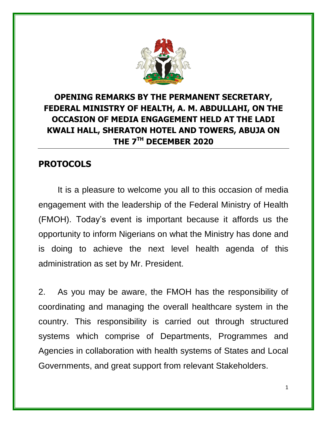

## **OPENING REMARKS BY THE PERMANENT SECRETARY, FEDERAL MINISTRY OF HEALTH, A. M. ABDULLAHI, ON THE OCCASION OF MEDIA ENGAGEMENT HELD AT THE LADI KWALI HALL, SHERATON HOTEL AND TOWERS, ABUJA ON THE 7TH DECEMBER 2020**

## **PROTOCOLS**

It is a pleasure to welcome you all to this occasion of media engagement with the leadership of the Federal Ministry of Health (FMOH). Today's event is important because it affords us the opportunity to inform Nigerians on what the Ministry has done and is doing to achieve the next level health agenda of this administration as set by Mr. President.

2. As you may be aware, the FMOH has the responsibility of coordinating and managing the overall healthcare system in the country. This responsibility is carried out through structured systems which comprise of Departments, Programmes and Agencies in collaboration with health systems of States and Local Governments, and great support from relevant Stakeholders.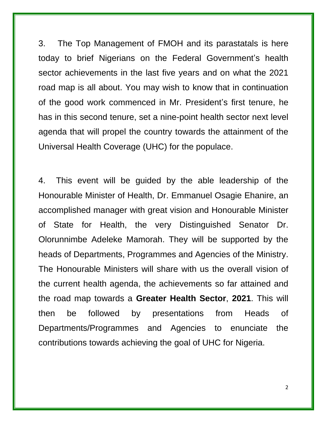3. The Top Management of FMOH and its parastatals is here today to brief Nigerians on the Federal Government's health sector achievements in the last five years and on what the 2021 road map is all about. You may wish to know that in continuation of the good work commenced in Mr. President's first tenure, he has in this second tenure, set a nine-point health sector next level agenda that will propel the country towards the attainment of the Universal Health Coverage (UHC) for the populace.

4. This event will be guided by the able leadership of the Honourable Minister of Health, Dr. Emmanuel Osagie Ehanire, an accomplished manager with great vision and Honourable Minister of State for Health, the very Distinguished Senator Dr. Olorunnimbe Adeleke Mamorah. They will be supported by the heads of Departments, Programmes and Agencies of the Ministry. The Honourable Ministers will share with us the overall vision of the current health agenda, the achievements so far attained and the road map towards a **Greater Health Sector**, **2021**. This will then be followed by presentations from Heads of Departments/Programmes and Agencies to enunciate the contributions towards achieving the goal of UHC for Nigeria.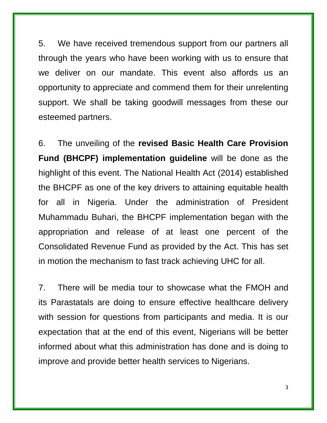5. We have received tremendous support from our partners all through the years who have been working with us to ensure that we deliver on our mandate. This event also affords us an opportunity to appreciate and commend them for their unrelenting support. We shall be taking goodwill messages from these our esteemed partners.

6. The unveiling of the **revised Basic Health Care Provision Fund (BHCPF) implementation guideline** will be done as the highlight of this event. The National Health Act (2014) established the BHCPF as one of the key drivers to attaining equitable health for all in Nigeria. Under the administration of President Muhammadu Buhari, the BHCPF implementation began with the appropriation and release of at least one percent of the Consolidated Revenue Fund as provided by the Act. This has set in motion the mechanism to fast track achieving UHC for all.

7. There will be media tour to showcase what the FMOH and its Parastatals are doing to ensure effective healthcare delivery with session for questions from participants and media. It is our expectation that at the end of this event, Nigerians will be better informed about what this administration has done and is doing to improve and provide better health services to Nigerians.